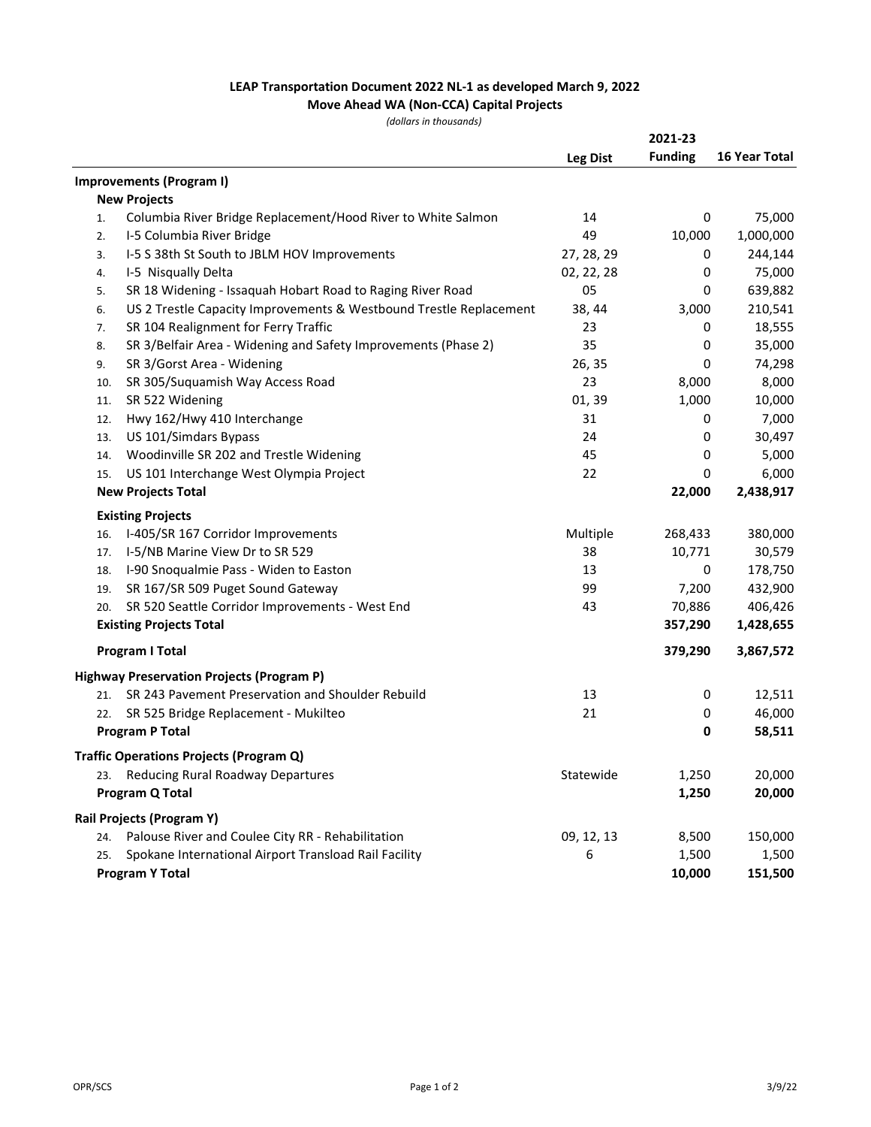## LEAP Transportation Document 2022 NL-1 as developed March 9, 2022

## Move Ahead WA (Non-CCA) Capital Projects

(dollars in thousands)

|     |                                                                    | <b>Leg Dist</b> | 2021-23<br><b>Funding</b> | 16 Year Total |
|-----|--------------------------------------------------------------------|-----------------|---------------------------|---------------|
|     | Improvements (Program I)                                           |                 |                           |               |
|     | <b>New Projects</b>                                                |                 |                           |               |
| 1.  | Columbia River Bridge Replacement/Hood River to White Salmon       | 14              | 0                         | 75,000        |
| 2.  | I-5 Columbia River Bridge                                          | 49              | 10,000                    | 1,000,000     |
| 3.  | I-5 S 38th St South to JBLM HOV Improvements                       | 27, 28, 29      | 0                         | 244,144       |
| 4.  | I-5 Nisqually Delta                                                | 02, 22, 28      | 0                         | 75,000        |
| 5.  | SR 18 Widening - Issaquah Hobart Road to Raging River Road         | 05              | 0                         | 639,882       |
| 6.  | US 2 Trestle Capacity Improvements & Westbound Trestle Replacement | 38, 44          | 3,000                     | 210,541       |
| 7.  | SR 104 Realignment for Ferry Traffic                               | 23              | 0                         | 18,555        |
| 8.  | SR 3/Belfair Area - Widening and Safety Improvements (Phase 2)     | 35              | 0                         | 35,000        |
| 9.  | SR 3/Gorst Area - Widening                                         | 26, 35          | 0                         | 74,298        |
| 10. | SR 305/Suquamish Way Access Road                                   | 23              | 8,000                     | 8,000         |
| 11. | SR 522 Widening                                                    | 01, 39          | 1,000                     | 10,000        |
| 12. | Hwy 162/Hwy 410 Interchange                                        | 31              | 0                         | 7,000         |
| 13. | US 101/Simdars Bypass                                              | 24              | 0                         | 30,497        |
| 14. | Woodinville SR 202 and Trestle Widening                            | 45              | 0                         | 5,000         |
| 15. | US 101 Interchange West Olympia Project                            | 22              | 0                         | 6,000         |
|     | <b>New Projects Total</b>                                          |                 | 22,000                    | 2,438,917     |
|     | <b>Existing Projects</b>                                           |                 |                           |               |
| 16. | I-405/SR 167 Corridor Improvements                                 | Multiple        | 268,433                   | 380,000       |
| 17. | I-5/NB Marine View Dr to SR 529                                    | 38              | 10,771                    | 30,579        |
| 18. | I-90 Snoqualmie Pass - Widen to Easton                             | 13              | 0                         | 178,750       |
| 19. | SR 167/SR 509 Puget Sound Gateway                                  | 99              | 7,200                     | 432,900       |
| 20. | SR 520 Seattle Corridor Improvements - West End                    | 43              | 70,886                    | 406,426       |
|     | <b>Existing Projects Total</b>                                     |                 | 357,290                   | 1,428,655     |
|     | <b>Program I Total</b>                                             |                 | 379,290                   | 3,867,572     |
|     | Highway Preservation Projects (Program P)                          |                 |                           |               |
| 21. | SR 243 Pavement Preservation and Shoulder Rebuild                  | 13              | 0                         | 12,511        |
| 22. | SR 525 Bridge Replacement - Mukilteo                               | 21              | 0                         | 46,000        |
|     | <b>Program P Total</b>                                             |                 | 0                         | 58,511        |
|     | <b>Traffic Operations Projects (Program Q)</b>                     |                 |                           |               |
| 23. | Reducing Rural Roadway Departures                                  | Statewide       | 1,250                     | 20,000        |
|     | Program Q Total                                                    |                 | 1,250                     | 20,000        |
|     | <b>Rail Projects (Program Y)</b>                                   |                 |                           |               |
| 24. | Palouse River and Coulee City RR - Rehabilitation                  | 09, 12, 13      | 8,500                     | 150,000       |
| 25. | Spokane International Airport Transload Rail Facility              | 6               | 1,500                     | 1,500         |
|     | <b>Program Y Total</b>                                             |                 | 10,000                    | 151,500       |